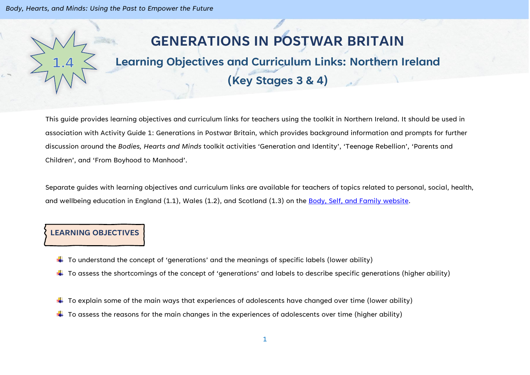# **GENERATIONS IN POSTWAR BRITAIN**

# **Learning Objectives and Curriculum Links: Northern Ireland**

# **(Key Stages 3 & 4)**

This guide provides learning objectives and curriculum links for teachers using the toolkit in Northern Ireland. It should be used in association with Activity Guide 1: Generations in Postwar Britain, which provides background information and prompts for further discussion around the *Bodies, Hearts and Minds* toolkit activities 'Generation and Identity', 'Teenage Rebellion', 'Parents and Children', and 'From Boyhood to Manhood'.

Separate guides with learning objectives and curriculum links are available for teachers of topics related to personal, social, health, and wellbeing education in England (1.1), Wales (1.2), and Scotland (1.3) on the [Body, Self, and Family website.](https://bodyselffamily.org/)

## **LEARNING OBJECTIVES**

- $\downarrow$  To understand the concept of 'generations' and the meanings of specific labels (lower ability)
- $\ddotplus$  To assess the shortcomings of the concept of 'generations' and labels to describe specific generations (higher ability)
- $\downarrow$  To explain some of the main ways that experiences of adolescents have changed over time (lower ability)
- $\ddot{\bullet}$  To assess the reasons for the main changes in the experiences of adolescents over time (higher ability)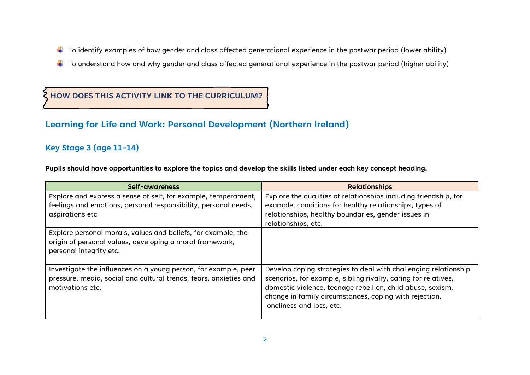- $\ddotplus$  To identify examples of how gender and class affected generational experience in the postwar period (lower ability)
- $\ddotplus$  To understand how and why gender and class affected generational experience in the postwar period (higher ability)

## **HOW DOES THIS ACTIVITY LINK TO THE CURRICULUM?**

## **Learning for Life and Work: Personal Development (Northern Ireland)**

## **Key Stage 3 (age 11-14)**

**Pupils should have opportunities to explore the topics and develop the skills listed under each key concept heading.**

| Self-awareness                                                                                                                                           | <b>Relationships</b>                                                                                                                                                                                                                                                                   |
|----------------------------------------------------------------------------------------------------------------------------------------------------------|----------------------------------------------------------------------------------------------------------------------------------------------------------------------------------------------------------------------------------------------------------------------------------------|
| Explore and express a sense of self, for example, temperament,<br>feelings and emotions, personal responsibility, personal needs,<br>aspirations etc     | Explore the qualities of relationships including friendship, for<br>example, conditions for healthy relationships, types of<br>relationships, healthy boundaries, gender issues in<br>relationships, etc.                                                                              |
| Explore personal morals, values and beliefs, for example, the<br>origin of personal values, developing a moral framework,<br>personal integrity etc.     |                                                                                                                                                                                                                                                                                        |
| Investigate the influences on a young person, for example, peer<br>pressure, media, social and cultural trends, fears, anxieties and<br>motivations etc. | Develop coping strategies to deal with challenging relationship<br>scenarios, for example, sibling rivalry, caring for relatives,<br>domestic violence, teenage rebellion, child abuse, sexism,<br>change in family circumstances, coping with rejection,<br>loneliness and loss, etc. |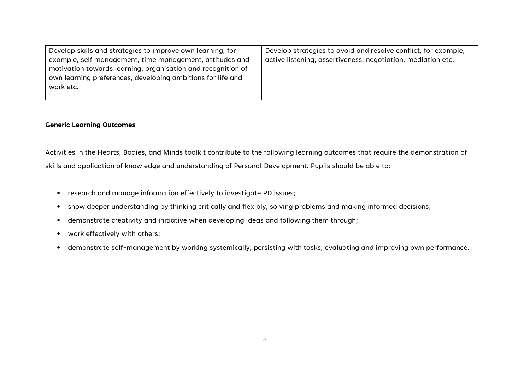| Develop skills and strategies to improve own learning, for   | Develop strategies to avoid and resolve conflict, for example, |
|--------------------------------------------------------------|----------------------------------------------------------------|
| example, self management, time management, attitudes and     | active listening, assertiveness, negotiation, mediation etc.   |
| motivation towards learning, organisation and recognition of |                                                                |
| own learning preferences, developing ambitions for life and  |                                                                |
| work etc.                                                    |                                                                |
|                                                              |                                                                |

#### **Generic Learning Outcomes**

Activities in the Hearts, Bodies, and Minds toolkit contribute to the following learning outcomes that require the demonstration of skills and application of knowledge and understanding of Personal Development. Pupils should be able to:

- research and manage information effectively to investigate PD issues;
- show deeper understanding by thinking critically and flexibly, solving problems and making informed decisions;
- demonstrate creativity and initiative when developing ideas and following them through;
- work effectively with others;
- demonstrate self-management by working systemically, persisting with tasks, evaluating and improving own performance.